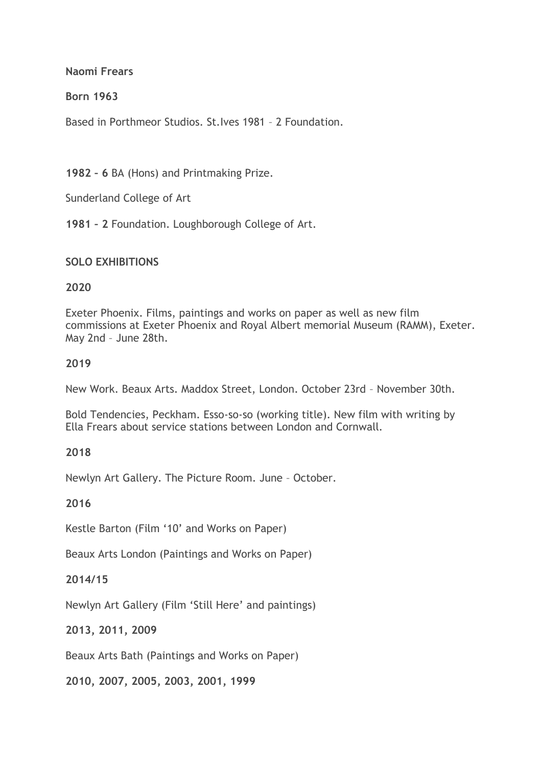**Naomi Frears**

**Born 1963**

Based in Porthmeor Studios. St.Ives 1981 – 2 Foundation.

**1982 – 6** BA (Hons) and Printmaking Prize.

Sunderland College of Art

**1981 – 2** Foundation. Loughborough College of Art.

#### **SOLO EXHIBITIONS**

#### **2020**

Exeter Phoenix. Films, paintings and works on paper as well as new film commissions at Exeter Phoenix and Royal Albert memorial Museum (RAMM), Exeter. May 2nd – June 28th.

#### **2019**

New Work. Beaux Arts. Maddox Street, London. October 23rd – November 30th.

Bold Tendencies, Peckham. Esso-so-so (working title). New film with writing by Ella Frears about service stations between London and Cornwall.

#### **2018**

Newlyn Art Gallery. The Picture Room. June – October.

**2016**

Kestle Barton (Film '10' and Works on Paper)

Beaux Arts London (Paintings and Works on Paper)

#### **2014/15**

Newlyn Art Gallery (Film 'Still Here' and paintings)

**2013, 2011, 2009**

Beaux Arts Bath (Paintings and Works on Paper)

**2010, 2007, 2005, 2003, 2001, 1999**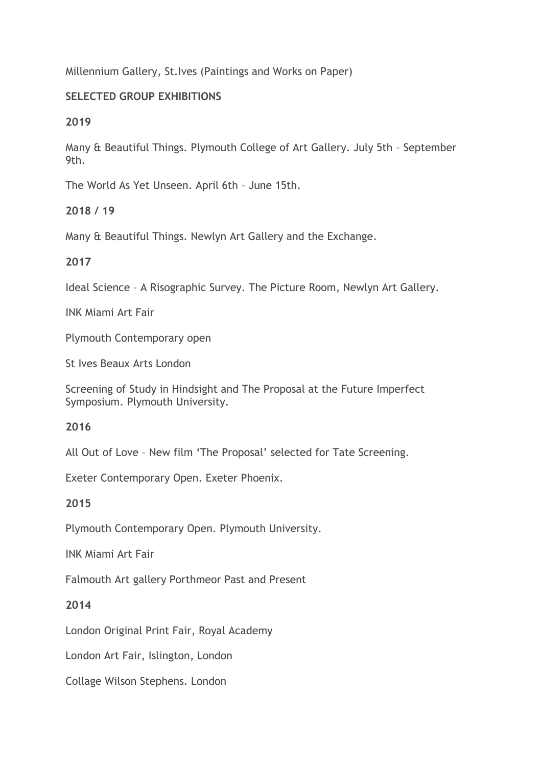Millennium Gallery, St.Ives (Paintings and Works on Paper)

# **SELECTED GROUP EXHIBITIONS**

**2019**

Many & Beautiful Things. Plymouth College of Art Gallery. July 5th – September 9th.

The World As Yet Unseen. April 6th – June 15th.

# **2018 / 19**

Many & Beautiful Things. Newlyn Art Gallery and the Exchange.

# **2017**

Ideal Science – A Risographic Survey. The Picture Room, Newlyn Art Gallery.

INK Miami Art Fair

Plymouth Contemporary open

St Ives Beaux Arts London

Screening of Study in Hindsight and The Proposal at the Future Imperfect Symposium. Plymouth University.

**2016**

All Out of Love – New film 'The Proposal' selected for Tate Screening.

Exeter Contemporary Open. Exeter Phoenix.

**2015**

Plymouth Contemporary Open. Plymouth University.

INK Miami Art Fair

Falmouth Art gallery Porthmeor Past and Present

**2014**

London Original Print Fair, Royal Academy

London Art Fair, Islington, London

Collage Wilson Stephens. London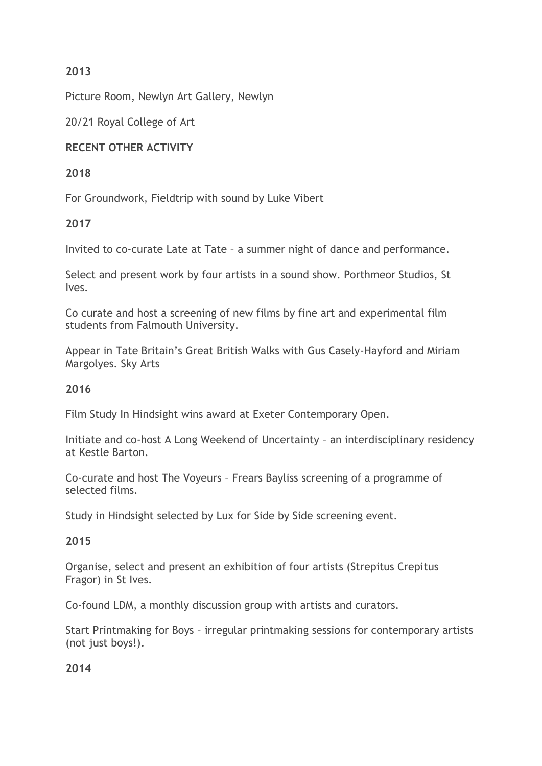# **2013**

Picture Room, Newlyn Art Gallery, Newlyn

20/21 Royal College of Art

# **RECENT OTHER ACTIVITY**

# **2018**

For Groundwork, Fieldtrip with sound by Luke Vibert

# **2017**

Invited to co-curate Late at Tate – a summer night of dance and performance.

Select and present work by four artists in a sound show. Porthmeor Studios, St Ives.

Co curate and host a screening of new films by fine art and experimental film students from Falmouth University.

Appear in Tate Britain's Great British Walks with Gus Casely-Hayford and Miriam Margolyes. Sky Arts

# **2016**

Film Study In Hindsight wins award at Exeter Contemporary Open.

Initiate and co-host A Long Weekend of Uncertainty – an interdisciplinary residency at Kestle Barton.

Co-curate and host The Voyeurs – Frears Bayliss screening of a programme of selected films.

Study in Hindsight selected by Lux for Side by Side screening event.

# **2015**

Organise, select and present an exhibition of four artists (Strepitus Crepitus Fragor) in St Ives.

Co-found LDM, a monthly discussion group with artists and curators.

Start Printmaking for Boys – irregular printmaking sessions for contemporary artists (not just boys!).

**2014**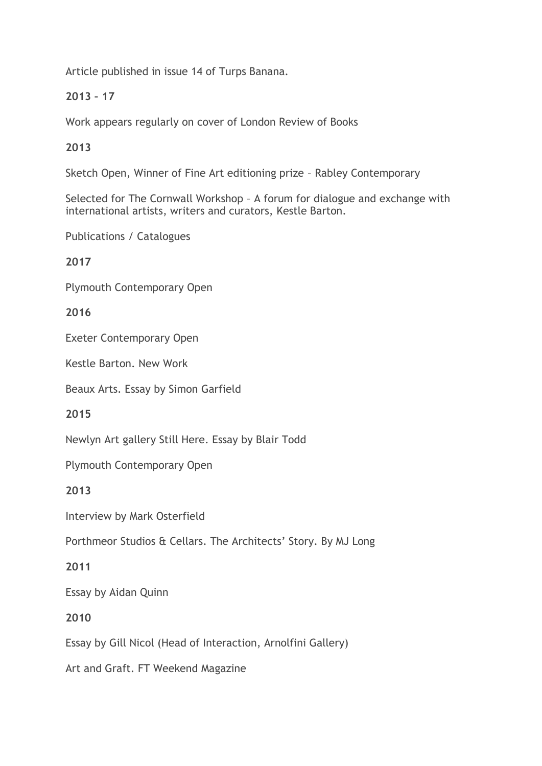Article published in issue 14 of Turps Banana.

# **2013 – 17**

Work appears regularly on cover of London Review of Books

**2013**

Sketch Open, Winner of Fine Art editioning prize – Rabley Contemporary

Selected for The Cornwall Workshop – A forum for dialogue and exchange with international artists, writers and curators, Kestle Barton.

Publications / Catalogues

**2017**

Plymouth Contemporary Open

**2016**

Exeter Contemporary Open

Kestle Barton. New Work

Beaux Arts. Essay by Simon Garfield

**2015**

Newlyn Art gallery Still Here. Essay by Blair Todd

Plymouth Contemporary Open

**2013**

Interview by Mark Osterfield

Porthmeor Studios & Cellars. The Architects' Story. By MJ Long

**2011**

Essay by Aidan Quinn

**2010**

Essay by Gill Nicol (Head of Interaction, Arnolfini Gallery)

Art and Graft. FT Weekend Magazine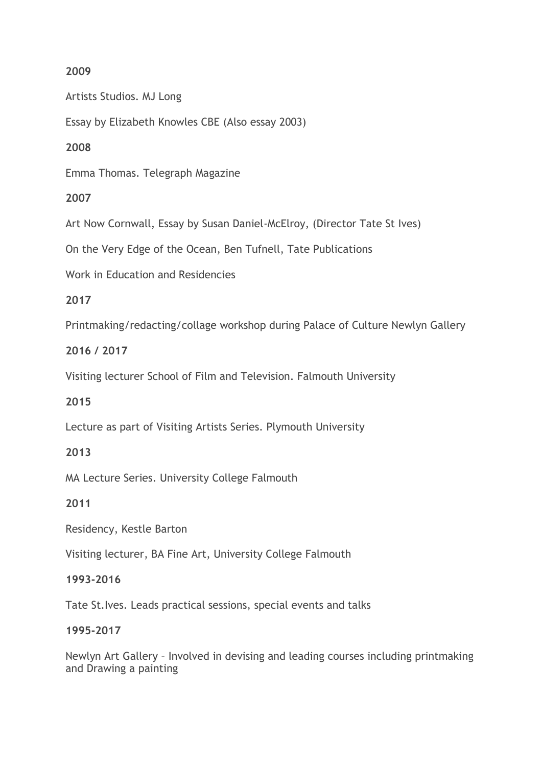# **2009**

Artists Studios. MJ Long

Essay by Elizabeth Knowles CBE (Also essay 2003)

## **2008**

Emma Thomas. Telegraph Magazine

# **2007**

Art Now Cornwall, Essay by Susan Daniel-McElroy, (Director Tate St Ives)

On the Very Edge of the Ocean, Ben Tufnell, Tate Publications

Work in Education and Residencies

### **2017**

Printmaking/redacting/collage workshop during Palace of Culture Newlyn Gallery

### **2016 / 2017**

Visiting lecturer School of Film and Television. Falmouth University

# **2015**

Lecture as part of Visiting Artists Series. Plymouth University

#### **2013**

MA Lecture Series. University College Falmouth

**2011**

Residency, Kestle Barton

Visiting lecturer, BA Fine Art, University College Falmouth

# **1993-2016**

Tate St.Ives. Leads practical sessions, special events and talks

#### **1995-2017**

Newlyn Art Gallery – Involved in devising and leading courses including printmaking and Drawing a painting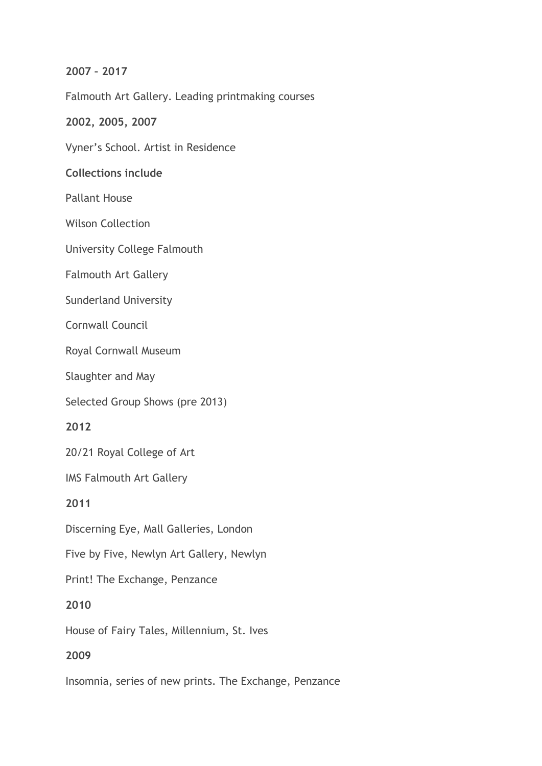### **2007 – 2017**

Falmouth Art Gallery. Leading printmaking courses

### **2002, 2005, 2007**

Vyner's School. Artist in Residence

### **Collections include**

Pallant House

Wilson Collection

University College Falmouth

Falmouth Art Gallery

Sunderland University

Cornwall Council

Royal Cornwall Museum

Slaughter and May

Selected Group Shows (pre 2013)

**2012**

20/21 Royal College of Art

IMS Falmouth Art Gallery

**2011**

Discerning Eye, Mall Galleries, London

Five by Five, Newlyn Art Gallery, Newlyn

Print! The Exchange, Penzance

**2010**

House of Fairy Tales, Millennium, St. Ives

#### **2009**

Insomnia, series of new prints. The Exchange, Penzance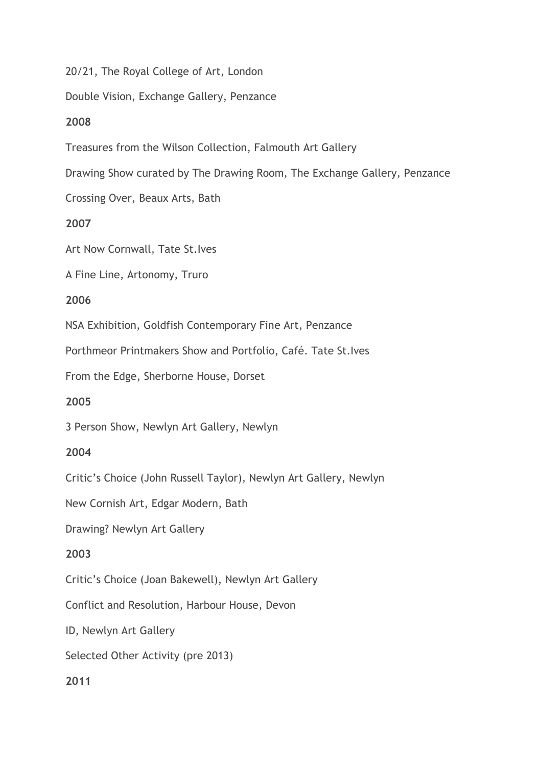20/21, The Royal College of Art, London

Double Vision, Exchange Gallery, Penzance

### **2008**

Treasures from the Wilson Collection, Falmouth Art Gallery

Drawing Show curated by The Drawing Room, The Exchange Gallery, Penzance

Crossing Over, Beaux Arts, Bath

# **2007**

Art Now Cornwall, Tate St.Ives

A Fine Line, Artonomy, Truro

### **2006**

NSA Exhibition, Goldfish Contemporary Fine Art, Penzance

Porthmeor Printmakers Show and Portfolio, Café. Tate St.Ives

From the Edge, Sherborne House, Dorset

# **2005**

3 Person Show, Newlyn Art Gallery, Newlyn

#### **2004**

Critic's Choice (John Russell Taylor), Newlyn Art Gallery, Newlyn

New Cornish Art, Edgar Modern, Bath

Drawing? Newlyn Art Gallery

# **2003**

Critic's Choice (Joan Bakewell), Newlyn Art Gallery

Conflict and Resolution, Harbour House, Devon

ID, Newlyn Art Gallery

Selected Other Activity (pre 2013)

### **2011**